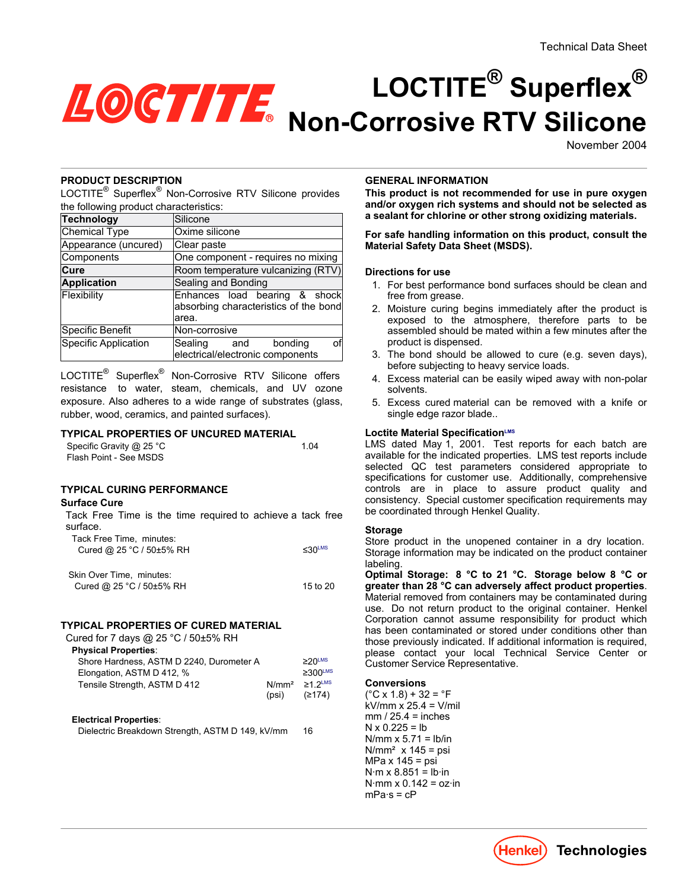# **LOCTITE® Superflex® Non-Corrosive RTV Silicone**

November-2004

# **PRODUCT DESCRIPTION**

LOCTITE<sup>®</sup> Superflex<sup>®</sup> Non-Corrosive RTV Silicone provides the following product characteristics:

| Technology                  | Silicone                                                                        |
|-----------------------------|---------------------------------------------------------------------------------|
| <b>Chemical Type</b>        | Oxime silicone                                                                  |
| Appearance (uncured)        | Clear paste                                                                     |
| Components                  | One component - requires no mixing                                              |
| Cure                        | Room temperature vulcanizing (RTV)                                              |
| <b>Application</b>          | Sealing and Bonding                                                             |
| Flexibility                 | Enhances load bearing & shock<br>absorbing characteristics of the bond<br>area. |
| Specific Benefit            | Non-corrosive                                                                   |
| <b>Specific Application</b> | Sealing<br>bonding<br>and<br>Ωf<br>electrical/electronic components             |

LOCTITE<sup>®</sup> Superflex<sup>®</sup> Non-Corrosive RTV Silicone offers resistance to water, steam, chemicals, and UV ozone exposure. Also adheres to a wide range of substrates (glass, rubber, wood, ceramics, and painted surfaces).

#### **TYPICAL PROPERTIES OF UNCURED MATERIAL**

| Specific Gravity @ 25 °C | 1 04 |
|--------------------------|------|
| Flash Point - See MSDS   |      |

# **TYPICAL CURING PERFORMANCE**

### **Surface Cure**

Tack Free Time is the time required to achieve a tack free surface.

| Tack Free Time, minutes: |                    |
|--------------------------|--------------------|
| Cured @ 25 °C / 50±5% RH | ≤30 <sup>LMS</sup> |
|                          |                    |
| Skin Over Time, minutes: |                    |

# Cured @ 25 °C / 50±5% RH 15 to 20

# **TYPICAL PROPERTIES OF CURED MATERIAL**

Cured for 7 days @ 25 °C / 50±5% RH

| Physical Properties:                     |       |                               |
|------------------------------------------|-------|-------------------------------|
| Shore Hardness, ASTM D 2240, Durometer A |       | $>20$ LMS                     |
| Elongation, ASTM D 412, %                |       | $\geq 300^{\text{LMS}}$       |
| Tensile Strength, ASTM D 412             | (psi) | $N/mm^2 \ge 1$ 2LMS<br>(≥174) |

#### **Electrical Properties**:

| Dielectric Breakdown Strength, ASTM D 149, kV/mm | 16 |
|--------------------------------------------------|----|
|--------------------------------------------------|----|

#### **GENERAL INFORMATION**

**This product is not recommended for use in pure oxygen and/or oxygen rich systems and should not be selected as a sealant for chlorine or other strong oxidizing materials.**

#### **For safe handling information on this product, consult the Material Safety Data Sheet (MSDS).**

#### **Directions for use**

- 1. For best performance bond surfaces should be clean and free from grease.
- 2. Moisture curing begins immediately after the product is exposed to the atmosphere, therefore parts to be assembled should be mated within a few minutes after the product is dispensed.
- 3. The bond should be allowed to cure (e.g. seven days), before subjecting to heavy service loads.
- 4. Excess material can be easily wiped away with non-polar solvents.
- 5. Excess cured material can be removed with a knife or single edge razor blade..

#### **Loctite Material SpecificationLMS**

LMS dated May 1, 2001. Test reports for each batch are available for the indicated properties. LMS test reports include selected QC test parameters considered appropriate to specifications for customer use. Additionally, comprehensive controls are in place to assure product quality and consistency. Special customer specification requirements may be coordinated through Henkel Quality.

#### **Storage**

Store product in the unopened container in a dry location. Storage information may be indicated on the product container labeling.

**Optimal Storage: 8 °C to 21 °C. Storage below 8 °C or greater than 28 °C can adversely affect product properties**. Material removed from containers may be contaminated during use. Do not return product to the original container. Henkel Corporation cannot assume responsibility for product which has been contaminated or stored under conditions other than those previously indicated. If additional information is required, please contact your local Technical Service Center or Customer Service Representative.

#### **Conversions**

 $(^{\circ}C \times 1.8) + 32 = ^{\circ}F$ kV/mm x 25.4 = V/mil  $mm / 25.4 = inches$  $N \times 0.225 = lb$  $N/mm \times 5.71 = lb/in$  $N/mm<sup>2</sup>$  x 145 = psi  $MPa \times 145 = psi$  $N·m \times 8.851 = lb·in$ N·mm  $\times$  0.142 = oz·in  $mPa·s = cP$